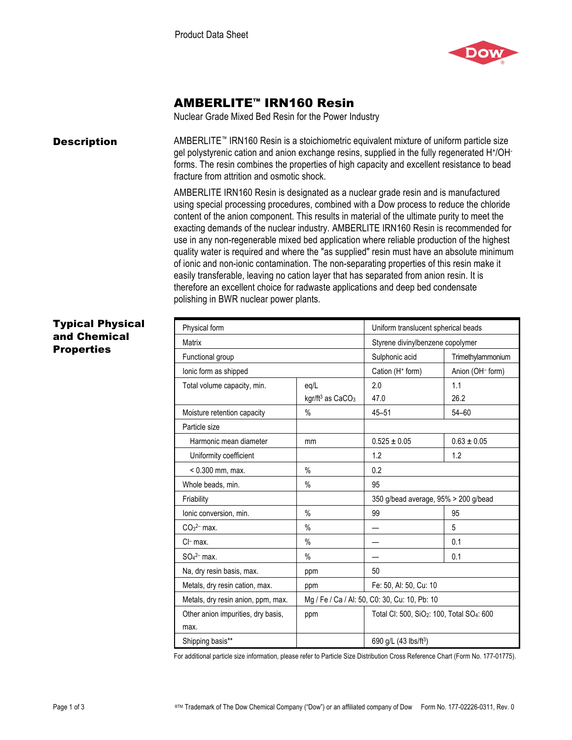

# AMBERLITE™ IRN160 Resin

Nuclear Grade Mixed Bed Resin for the Power Industry

**Description** AMBERLITE™ IRN160 Resin is a stoichiometric equivalent mixture of uniform particle size gel polystyrenic cation and anion exchange resins, supplied in the fully regenerated H+/OHforms. The resin combines the properties of high capacity and excellent resistance to bead fracture from attrition and osmotic shock.

> AMBERLITE IRN160 Resin is designated as a nuclear grade resin and is manufactured using special processing procedures, combined with a Dow process to reduce the chloride content of the anion component. This results in material of the ultimate purity to meet the exacting demands of the nuclear industry. AMBERLITE IRN160 Resin is recommended for use in any non-regenerable mixed bed application where reliable production of the highest quality water is required and where the "as supplied" resin must have an absolute minimum of ionic and non-ionic contamination. The non-separating properties of this resin make it easily transferable, leaving no cation layer that has separated from anion resin. It is therefore an excellent choice for radwaste applications and deep bed condensate polishing in BWR nuclear power plants.

## Typical Physical and Chemical **Properties**

| Physical form                      |                                                                           | Uniform translucent spherical beads  |                   |
|------------------------------------|---------------------------------------------------------------------------|--------------------------------------|-------------------|
| Matrix                             |                                                                           | Styrene divinylbenzene copolymer     |                   |
| Functional group                   |                                                                           | Sulphonic acid                       | Trimethylammonium |
| lonic form as shipped              |                                                                           | Cation (H <sup>+</sup> form)         | Anion (OH- form)  |
| Total volume capacity, min.        | eq/L                                                                      | 2.0                                  | 1.1               |
|                                    | kgr/ft <sup>3</sup> as CaCO <sub>3</sub>                                  | 47.0                                 | 26.2              |
| Moisture retention capacity        | $\%$                                                                      | $45 - 51$                            | $54 - 60$         |
| Particle size                      |                                                                           |                                      |                   |
| Harmonic mean diameter             | mm                                                                        | $0.525 \pm 0.05$                     | $0.63 \pm 0.05$   |
| Uniformity coefficient             |                                                                           | 1.2                                  | 1.2               |
| $< 0.300$ mm, max.                 | $\%$                                                                      | 0.2                                  |                   |
| Whole beads, min.                  | $\%$                                                                      | 95                                   |                   |
| Friability                         |                                                                           | 350 g/bead average, 95% > 200 g/bead |                   |
| Ionic conversion, min.             | $\%$                                                                      | 99                                   | 95                |
| $CO32- max.$                       | $\%$                                                                      |                                      | 5                 |
| $Cl-$ max.                         | $\%$                                                                      |                                      | 0.1               |
| $SO42- max.$                       | $\%$                                                                      |                                      | 0.1               |
| Na, dry resin basis, max.          | ppm                                                                       | 50                                   |                   |
| Metals, dry resin cation, max.     | ppm                                                                       | Fe: 50, Al: 50, Cu: 10               |                   |
| Metals, dry resin anion, ppm, max. | Mg / Fe / Ca / Al: 50, C0: 30, Cu: 10, Pb: 10                             |                                      |                   |
| Other anion impurities, dry basis, | Total CI: 500, SiO <sub>2</sub> : 100, Total SO <sub>4</sub> : 600<br>ppm |                                      |                   |
| max.                               |                                                                           |                                      |                   |
| Shipping basis**                   |                                                                           | 690 g/L (43 lbs/ft <sup>3</sup> )    |                   |

For additional particle size information, please refer to Particle Size Distribution Cross Reference Chart (Form No. 177-01775).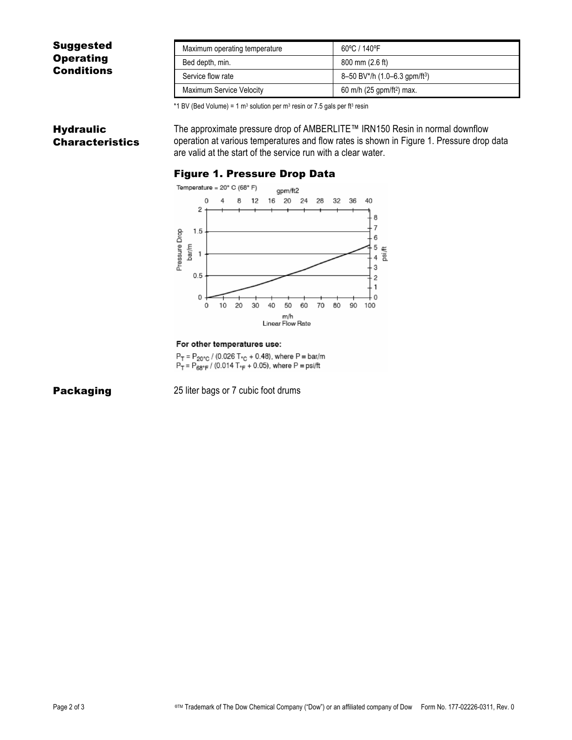## Suggested **Operating Conditions**

| Maximum operating temperature   | 60°C / 140°F                              |
|---------------------------------|-------------------------------------------|
| Bed depth, min.                 | 800 mm (2.6 ft)                           |
| Service flow rate               | 8-50 BV*/h (1.0-6.3 gpm/ft <sup>3</sup> ) |
| <b>Maximum Service Velocity</b> | 60 m/h $(25$ gpm/ft <sup>2</sup> ) max.   |

\*1 BV (Bed Volume) = 1 m<sup>3</sup> solution per m<sup>3</sup> resin or 7.5 gals per ft<sup>3</sup> resin

### **Hydraulic** Characteristics

The approximate pressure drop of AMBERLITE™ IRN150 Resin in normal downflow operation at various temperatures and flow rates is shown in Figure 1. Pressure drop data are valid at the start of the service run with a clear water.

#### Figure 1. Pressure Drop Data



#### For other temperatures use:

 $P_T = P_{20\degree C}$  / (0.026 T<sub> $\degree C$ </sub> + 0.48), where P = bar/m  $P_T = P_{68°F} = (0.014 T_{F} + 0.05)$ , where  $P = \text{psift}$ 

**Packaging** 25 liter bags or 7 cubic foot drums